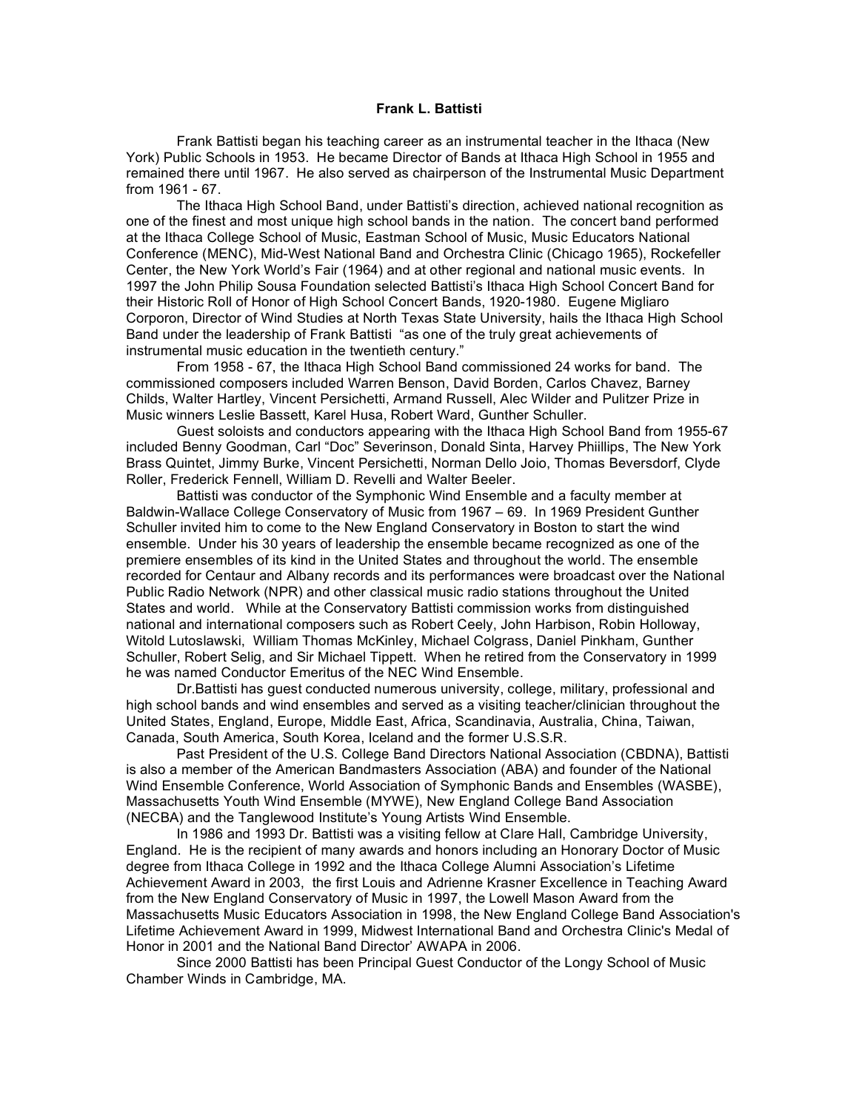## **Frank L. Battisti**

Frank Battisti began his teaching career as an instrumental teacher in the Ithaca (New York) Public Schools in 1953. He became Director of Bands at Ithaca High School in 1955 and remained there until 1967. He also served as chairperson of the Instrumental Music Department from 1961 - 67.

The Ithaca High School Band, under Battisti's direction, achieved national recognition as one of the finest and most unique high school bands in the nation. The concert band performed at the Ithaca College School of Music, Eastman School of Music, Music Educators National Conference (MENC), Mid-West National Band and Orchestra Clinic (Chicago 1965), Rockefeller Center, the New York World's Fair (1964) and at other regional and national music events. In 1997 the John Philip Sousa Foundation selected Battisti's Ithaca High School Concert Band for their Historic Roll of Honor of High School Concert Bands, 1920-1980. Eugene Migliaro Corporon, Director of Wind Studies at North Texas State University, hails the Ithaca High School Band under the leadership of Frank Battisti "as one of the truly great achievements of instrumental music education in the twentieth century."

From 1958 - 67, the Ithaca High School Band commissioned 24 works for band. The commissioned composers included Warren Benson, David Borden, Carlos Chavez, Barney Childs, Walter Hartley, Vincent Persichetti, Armand Russell, Alec Wilder and Pulitzer Prize in Music winners Leslie Bassett, Karel Husa, Robert Ward, Gunther Schuller.

Guest soloists and conductors appearing with the Ithaca High School Band from 1955-67 included Benny Goodman, Carl "Doc" Severinson, Donald Sinta, Harvey Phiillips, The New York Brass Quintet, Jimmy Burke, Vincent Persichetti, Norman Dello Joio, Thomas Beversdorf, Clyde Roller, Frederick Fennell, William D. Revelli and Walter Beeler.

Battisti was conductor of the Symphonic Wind Ensemble and a faculty member at Baldwin-Wallace College Conservatory of Music from 1967 – 69. In 1969 President Gunther Schuller invited him to come to the New England Conservatory in Boston to start the wind ensemble. Under his 30 years of leadership the ensemble became recognized as one of the premiere ensembles of its kind in the United States and throughout the world. The ensemble recorded for Centaur and Albany records and its performances were broadcast over the National Public Radio Network (NPR) and other classical music radio stations throughout the United States and world. While at the Conservatory Battisti commission works from distinguished national and international composers such as Robert Ceely, John Harbison, Robin Holloway, Witold Lutoslawski, William Thomas McKinley, Michael Colgrass, Daniel Pinkham, Gunther Schuller, Robert Selig, and Sir Michael Tippett. When he retired from the Conservatory in 1999 he was named Conductor Emeritus of the NEC Wind Ensemble.

Dr.Battisti has guest conducted numerous university, college, military, professional and high school bands and wind ensembles and served as a visiting teacher/clinician throughout the United States, England, Europe, Middle East, Africa, Scandinavia, Australia, China, Taiwan, Canada, South America, South Korea, Iceland and the former U.S.S.R.

Past President of the U.S. College Band Directors National Association (CBDNA), Battisti is also a member of the American Bandmasters Association (ABA) and founder of the National Wind Ensemble Conference, World Association of Symphonic Bands and Ensembles (WASBE), Massachusetts Youth Wind Ensemble (MYWE), New England College Band Association (NECBA) and the Tanglewood Institute's Young Artists Wind Ensemble.

In 1986 and 1993 Dr. Battisti was a visiting fellow at Clare Hall, Cambridge University, England. He is the recipient of many awards and honors including an Honorary Doctor of Music degree from Ithaca College in 1992 and the Ithaca College Alumni Association's Lifetime Achievement Award in 2003, the first Louis and Adrienne Krasner Excellence in Teaching Award from the New England Conservatory of Music in 1997, the Lowell Mason Award from the Massachusetts Music Educators Association in 1998, the New England College Band Association's Lifetime Achievement Award in 1999, Midwest International Band and Orchestra Clinic's Medal of Honor in 2001 and the National Band Director' AWAPA in 2006.

Since 2000 Battisti has been Principal Guest Conductor of the Longy School of Music Chamber Winds in Cambridge, MA.